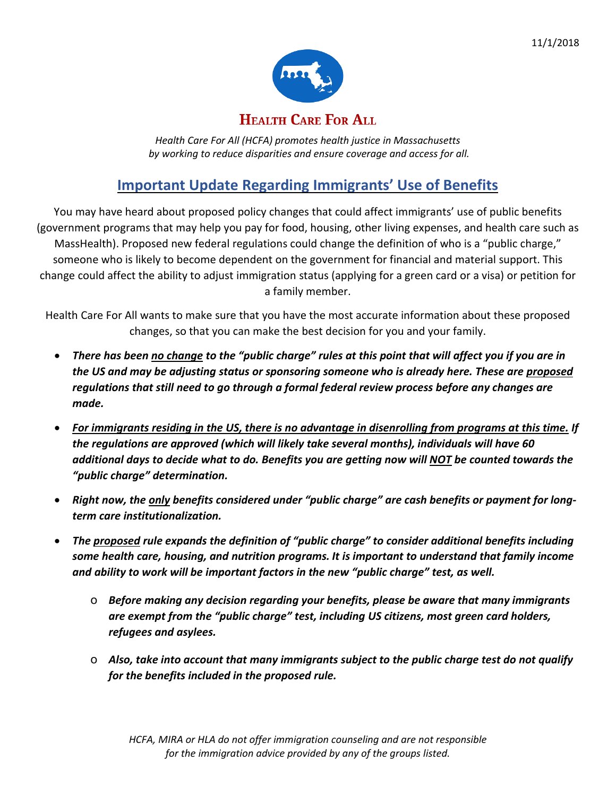

### **HEALTH CARE FOR ALL**

*Health Care For All (HCFA) promotes health justice in Massachusetts by working to reduce disparities and ensure coverage and access for all.*

## **Important Update Regarding Immigrants' Use of Benefits**

You may have heard about proposed policy changes that could affect immigrants' use of public benefits (government programs that may help you pay for food, housing, other living expenses, and health care such as MassHealth). Proposed new federal regulations could change the definition of who is a "public charge," someone who is likely to become dependent on the government for financial and material support. This change could affect the ability to adjust immigration status (applying for a green card or a visa) or petition for a family member.

Health Care For All wants to make sure that you have the most accurate information about these proposed changes, so that you can make the best decision for you and your family.

- There has been no change to the "public charge" rules at this point that will affect you if you are in *the US and may be adjusting status or sponsoring someone who is already here. These are proposed regulations that still need to go through a formal federal review process before any changes are made.*
- For immigrants residing in the US, there is no advantage in disenrolling from programs at this time. If *the regulations are approved (which will likely take several months), individuals will have 60 additional days to decide what to do. Benefits you are getting now will NOT be counted towards the "public charge" determination.*
- *Right now, the only benefits considered under "public charge" are cash benefits or payment for longterm care institutionalization.*
- *The proposed rule expands the definition of "public charge" to consider additional benefits including some health care, housing, and nutrition programs. It is important to understand that family income and ability to work will be important factors in the new "public charge" test, as well.*
	- o *Before making any decision regarding your benefits, please be aware that many immigrants are exempt from the "public charge" test, including US citizens, most green card holders, refugees and asylees.*
	- o *Also, take into account that many immigrants subject to the public charge test do not qualify for the benefits included in the proposed rule.*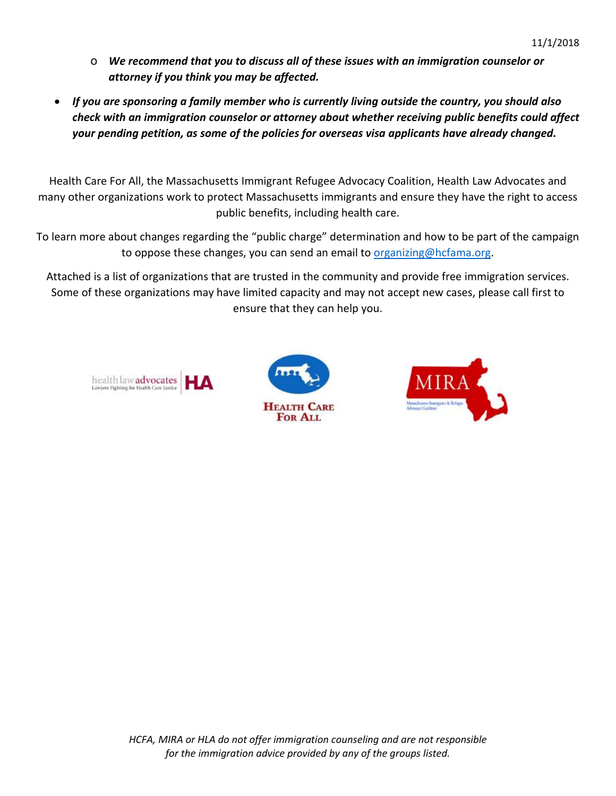- o *We recommend that you to discuss all of these issues with an immigration counselor or attorney if you think you may be affected.*
- *If you are sponsoring a family member who is currently living outside the country, you should also check with an immigration counselor or attorney about whether receiving public benefits could affect your pending petition, as some of the policies for overseas visa applicants have already changed.*

Health Care For All, the Massachusetts Immigrant Refugee Advocacy Coalition, Health Law Advocates and many other organizations work to protect Massachusetts immigrants and ensure they have the right to access public benefits, including health care.

To learn more about changes regarding the "public charge" determination and how to be part of the campaign to oppose these changes, you can send an email to [organizing@hcfama.org.](mailto:organizing@hcfama.org)

Attached is a list of organizations that are trusted in the community and provide free immigration services. Some of these organizations may have limited capacity and may not accept new cases, please call first to ensure that they can help you.





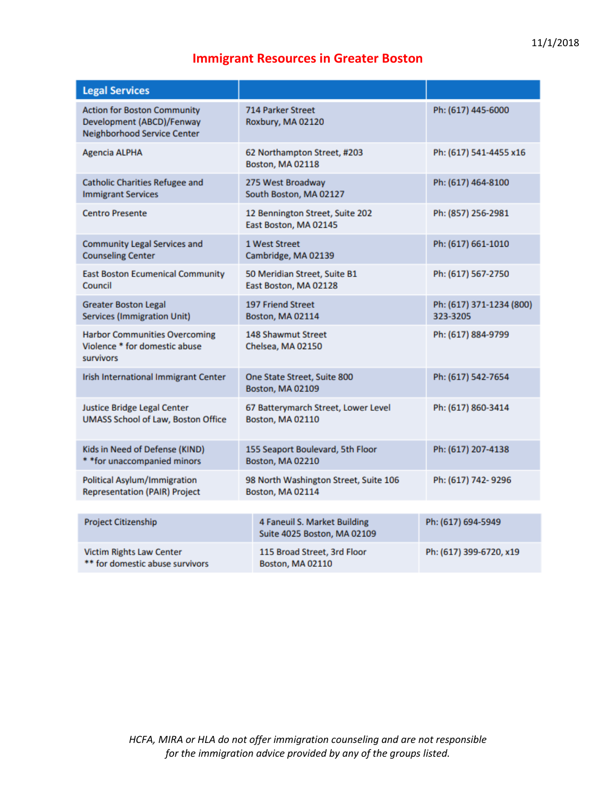## **Immigrant Resources in Greater Boston**

| <b>Legal Services</b>                                                                                 |                                                             |                                      |
|-------------------------------------------------------------------------------------------------------|-------------------------------------------------------------|--------------------------------------|
| <b>Action for Boston Community</b><br>Development (ABCD)/Fenway<br><b>Neighborhood Service Center</b> | <b>714 Parker Street</b><br>Roxbury, MA 02120               | Ph: (617) 445-6000                   |
| <b>Agencia ALPHA</b>                                                                                  | 62 Northampton Street, #203<br>Boston, MA 02118             | Ph: (617) 541-4455 x16               |
| <b>Catholic Charities Refugee and</b><br><b>Immigrant Services</b>                                    | 275 West Broadway<br>South Boston, MA 02127                 | Ph: (617) 464-8100                   |
| <b>Centro Presente</b>                                                                                | 12 Bennington Street, Suite 202<br>East Boston, MA 02145    | Ph: (857) 256-2981                   |
| <b>Community Legal Services and</b><br><b>Counseling Center</b>                                       | 1 West Street<br>Cambridge, MA 02139                        | Ph: (617) 661-1010                   |
| <b>East Boston Ecumenical Community</b><br>Council                                                    | 50 Meridian Street, Suite B1<br>East Boston, MA 02128       | Ph: (617) 567-2750                   |
| <b>Greater Boston Legal</b><br><b>Services (Immigration Unit)</b>                                     | <b>197 Friend Street</b><br>Boston, MA 02114                | Ph: (617) 371-1234 (800)<br>323-3205 |
| <b>Harbor Communities Overcoming</b><br>Violence * for domestic abuse<br>survivors                    | 148 Shawmut Street<br>Chelsea, MA 02150                     | Ph: (617) 884-9799                   |
| Irish International Immigrant Center                                                                  | One State Street, Suite 800<br>Boston, MA 02109             | Ph: (617) 542-7654                   |
| Justice Bridge Legal Center<br><b>UMASS School of Law, Boston Office</b>                              | 67 Batterymarch Street, Lower Level<br>Boston, MA 02110     | Ph: (617) 860-3414                   |
| Kids in Need of Defense (KIND)<br>* *for unaccompanied minors                                         | 155 Seaport Boulevard, 5th Floor<br>Boston, MA 02210        | Ph: (617) 207-4138                   |
| <b>Political Asylum/Immigration</b><br><b>Representation (PAIR) Project</b>                           | 98 North Washington Street, Suite 106<br>Boston, MA 02114   | Ph: (617) 742-9296                   |
|                                                                                                       |                                                             |                                      |
| <b>Project Citizenship</b>                                                                            | 4 Faneuil S. Market Building<br>Suite 4025 Boston, MA 02109 | Ph: (617) 694-5949                   |
| <b>Victim Rights Law Center</b><br>** for domestic abuse survivors                                    | 115 Broad Street, 3rd Floor<br>Boston, MA 02110             | Ph: (617) 399-6720, x19              |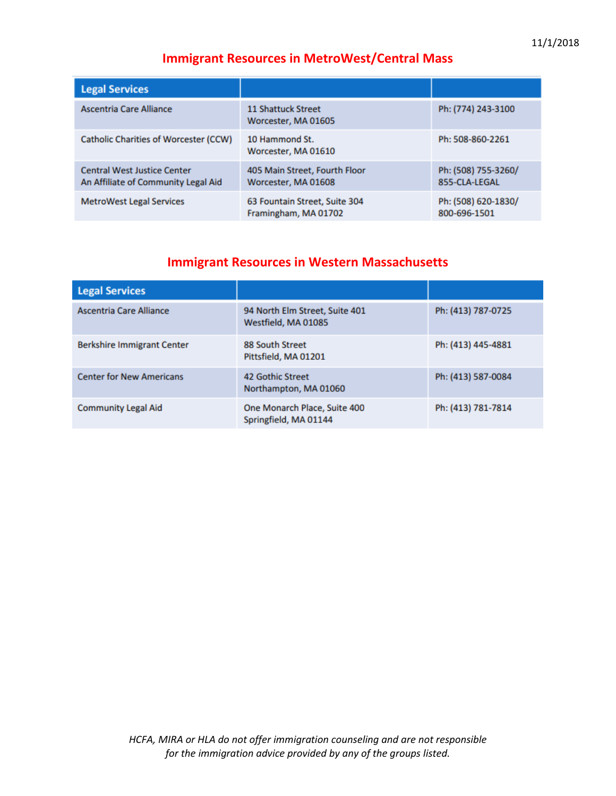#### **Immigrant Resources in MetroWest/Central Mass**

| <b>Legal Services</b>                                                     |                                                       |                                      |
|---------------------------------------------------------------------------|-------------------------------------------------------|--------------------------------------|
| Ascentria Care Alliance                                                   | <b>11 Shattuck Street</b><br>Worcester, MA 01605      | Ph: (774) 243-3100                   |
| <b>Catholic Charities of Worcester (CCW)</b>                              | 10 Hammond St.<br>Worcester, MA 01610                 | Ph: 508-860-2261                     |
| <b>Central West Justice Center</b><br>An Affiliate of Community Legal Aid | 405 Main Street, Fourth Floor<br>Worcester, MA 01608  | Ph: (508) 755-3260/<br>855-CLA-LEGAL |
| <b>MetroWest Legal Services</b>                                           | 63 Fountain Street, Suite 304<br>Framingham, MA 01702 | Ph: (508) 620-1830/<br>800-696-1501  |

#### **Immigrant Resources in Western Massachusetts**

| <b>Legal Services</b>             |                                                       |                    |
|-----------------------------------|-------------------------------------------------------|--------------------|
| Ascentria Care Alliance           | 94 North Elm Street, Suite 401<br>Westfield, MA 01085 | Ph: (413) 787-0725 |
| <b>Berkshire Immigrant Center</b> | 88 South Street<br>Pittsfield, MA 01201               | Ph: (413) 445-4881 |
| <b>Center for New Americans</b>   | 42 Gothic Street<br>Northampton, MA 01060             | Ph: (413) 587-0084 |
| <b>Community Legal Aid</b>        | One Monarch Place, Suite 400<br>Springfield, MA 01144 | Ph: (413) 781-7814 |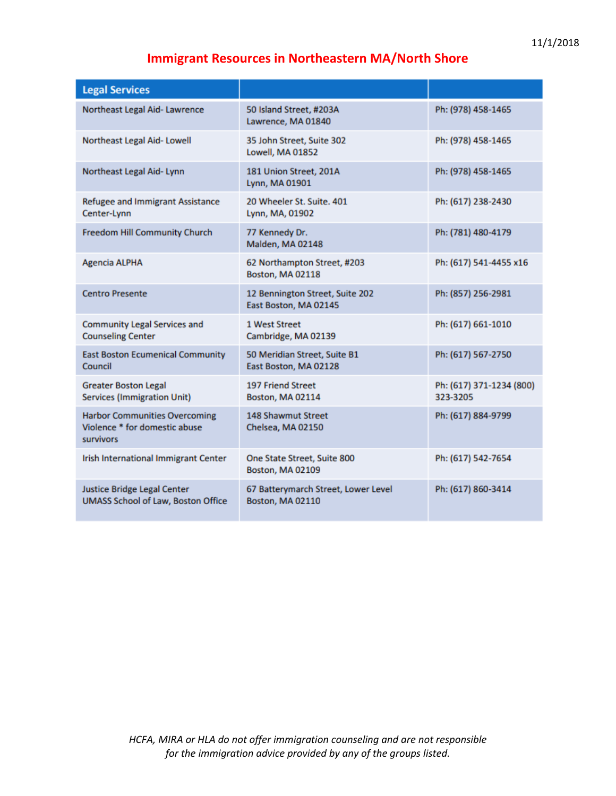# **Immigrant Resources in Northeastern MA/North Shore**

| <b>Legal Services</b>                                                                     |                                                          |                                      |
|-------------------------------------------------------------------------------------------|----------------------------------------------------------|--------------------------------------|
| Northeast Legal Aid- Lawrence                                                             | 50 Island Street, #203A<br>Lawrence, MA 01840            | Ph: (978) 458-1465                   |
| Northeast Legal Aid-Lowell                                                                | 35 John Street, Suite 302<br>Lowell, MA 01852            | Ph: (978) 458-1465                   |
| Northeast Legal Aid-Lynn                                                                  | 181 Union Street, 201A<br>Lynn, MA 01901                 | Ph: (978) 458-1465                   |
| Refugee and Immigrant Assistance<br>Center-Lynn                                           | 20 Wheeler St. Suite, 401<br>Lynn, MA, 01902             | Ph: (617) 238-2430                   |
| Freedom Hill Community Church                                                             | 77 Kennedy Dr.<br>Malden, MA 02148                       | Ph: (781) 480-4179                   |
| <b>Agencia ALPHA</b>                                                                      | 62 Northampton Street, #203<br>Boston, MA 02118          | Ph: (617) 541-4455 x16               |
| <b>Centro Presente</b>                                                                    | 12 Bennington Street, Suite 202<br>East Boston, MA 02145 | Ph: (857) 256-2981                   |
| <b>Community Legal Services and</b><br><b>Counseling Center</b>                           | 1 West Street<br>Cambridge, MA 02139                     | Ph: (617) 661-1010                   |
| <b>East Boston Ecumenical Community</b><br>Council                                        | 50 Meridian Street, Suite B1<br>East Boston, MA 02128    | Ph: (617) 567-2750                   |
| <b>Greater Boston Legal</b><br><b>Services (Immigration Unit)</b>                         | <b>197 Friend Street</b><br>Boston, MA 02114             | Ph: (617) 371-1234 (800)<br>323-3205 |
| <b>Harbor Communities Overcoming</b><br>Violence * for domestic abuse<br><b>survivors</b> | 148 Shawmut Street<br>Chelsea, MA 02150                  | Ph: (617) 884-9799                   |
| Irish International Immigrant Center                                                      | One State Street, Suite 800<br>Boston, MA 02109          | Ph: (617) 542-7654                   |
| Justice Bridge Legal Center<br><b>UMASS School of Law, Boston Office</b>                  | 67 Batterymarch Street, Lower Level<br>Boston, MA 02110  | Ph: (617) 860-3414                   |